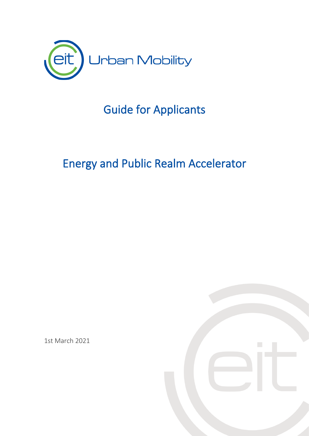

# Guide for Applicants

# Energy and Public Realm Accelerator

1st March 2021

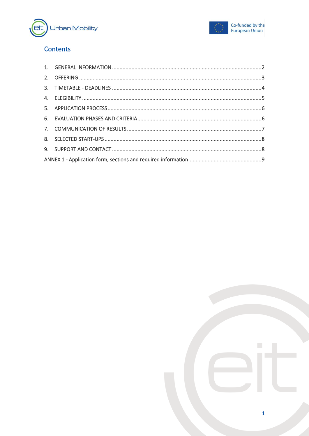



# Contents

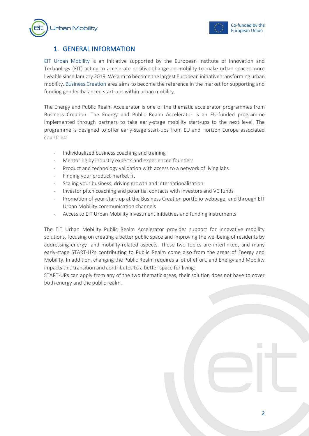



# <span id="page-2-0"></span>1. GENERAL INFORMATION

[EIT Urban Mobility](https://www.eiturbanmobility.eu/) is an initiative supported by the European Institute of Innovation and Technology (EIT) acting to accelerate positive change on mobility to make urban spaces more liveable since January 2019. We aim to become the largest European initiative transforming urban mobility. [Business Creation](https://www.eiturbanmobility.eu/business-creation/) area aims to become the reference in the market for supporting and funding gender-balanced start-ups within urban mobility.

The Energy and Public Realm Accelerator is one of the thematic accelerator programmes from Business Creation. The Energy and Public Realm Accelerator is an EU-funded programme implemented through partners to take early-stage mobility start-ups to the next level. The programme is designed to offer early-stage start-ups from EU and Horizon Europe associated countries:

- Individualized business coaching and training
- Mentoring by industry experts and experienced founders
- Product and technology validation with access to a network of living labs
- Finding your product-market fit
- Scaling your business, driving growth and internationalisation
- Investor pitch coaching and potential contacts with investors and VC funds
- Promotion of your start-up at the Business Creation portfolio webpage, and through EIT Urban Mobility communication channels
- Access to EIT Urban Mobility investment initiatives and funding instruments

The EIT Urban Mobility Public Realm Accelerator provides support for innovative mobility solutions, focusing on creating a better public space and improving the wellbeing of residents by addressing energy- and mobility-related aspects. These two topics are interlinked, and many early-stage START-UPs contributing to Public Realm come also from the areas of Energy and Mobility. In addition, changing the Public Realm requires a lot of effort, and Energy and Mobility impacts this transition and contributes to a better space for living.

START-UPs can apply from any of the two thematic areas, their solution does not have to cover both energy and the public realm.

|  | 2 |  |
|--|---|--|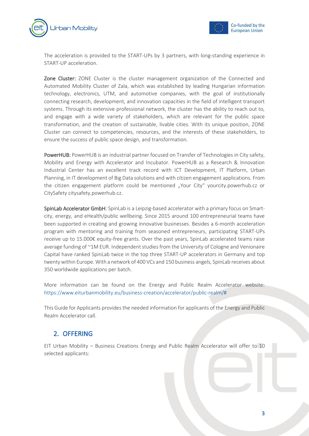



The acceleration is provided to the START-UPs by 3 partners, with long-standing experience in START-UP acceleration.

Zone Cluster: ZONE Cluster is the cluster management organization of the Connected and Automated Mobility Cluster of Zala, which was established by leading Hungarian information technology, electronics, UTM, and automotive companies, with the goal of institutionally connecting research, development, and innovation capacities in the field of intelligent transport systems. Through its extensive professional network, the cluster has the ability to reach out to, and engage with a wide variety of stakeholders, which are relevant for the public space transformation, and the creation of sustainable, livable cities. With its unique position, ZONE Cluster can connect to competencies, resources, and the interests of these stakeholders, to ensure the success of public space design, and transformation.

PowerHUB: PowerHUB is an industrial partner focused on Transfer of Technologies in City safety, Mobility and Energy with Accelerator and Incubator. PowerHUB as a Research & Innovation Industrial Center has an excellent track record with ICT Development, IT Platform, Urban Planning, in IT development of Big Data solutions and with citizen engagement applications. From the citizen engagement platform could be mentioned "Your City" yourcity.powerhub.cz or CitySafety citysafety.powerhub.cz.

SpinLab Accelerator GmbH: SpinLab is a Leipzig-based accelerator with a primary focus on Smartcity, energy, and eHealth/public wellbeing. Since 2015 around 100 entrepreneurial teams have been supported in creating and growing innovative businesses. Besides a 6-month acceleration program with mentoring and training from seasoned entrepreneurs, participating START-UPs receive up to 15.000€ equity-free grants. Over the past years, SpinLab accelerated teams raise average funding of ~1M EUR. Independent studies from the University of Cologne and Venionaire Capital have ranked SpinLab twice in the top three START-UP accelerators in Germany and top twenty within Europe. With a network of 400 VCs and 150 business angels, SpinLab receives about 350 worldwide applications per batch.

More information can be found on the Energy and Public Realm Accelerator website: [https://www.eiturbanmobility.eu/business-creation/accelerator/public-realm/#](https://www.eiturbanmobility.eu/business-creation/accelerator/public-realm/)

<span id="page-3-0"></span>This Guide for Applicants provides the needed information for applicants of the Energy and Public Realm Accelerator call.

#### 2. OFFERING

EIT Urban Mobility – Business Creations Energy and Public Realm Accelerator will offer to 10 selected applicants: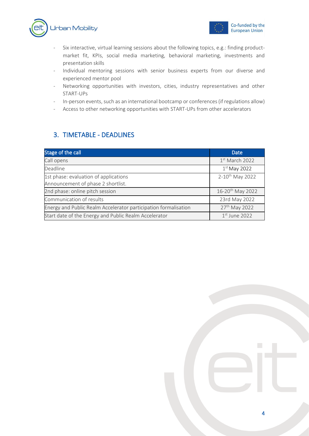



- Six interactive, virtual learning sessions about the following topics, e.g.: finding productmarket fit, KPIs, social media marketing, behavioral marketing, investments and presentation skills
- Individual mentoring sessions with senior business experts from our diverse and experienced mentor pool
- Networking opportunities with investors, cities, industry representatives and other START-UPs
- In-person events, such as an international bootcamp or conferences (if regulations allow)
- Access to other networking opportunities with START-UPs from other accelerators

# <span id="page-4-0"></span>3. TIMETABLE - DEADLINES

| Stage of the call                                               | Date                         |
|-----------------------------------------------------------------|------------------------------|
| Call opens                                                      | $1st$ March 2022             |
| Deadline                                                        | $1st$ May 2022               |
| 1st phase: evaluation of applications                           | 2-10 <sup>th</sup> May 2022  |
| Announcement of phase 2 shortlist.                              |                              |
| 2nd phase: online pitch session                                 | 16-20 <sup>th</sup> May 2022 |
| Communication of results                                        | 23rd May 2022                |
| Energy and Public Realm Accelerator participation formalisation | 27 <sup>th</sup> May 2022    |
| Start date of the Energy and Public Realm Accelerator           | $1st$ June 2022              |

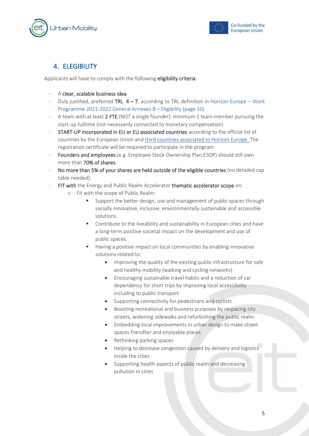



# <span id="page-5-0"></span>4. ELEGIBILITY

Applicants will have to comply with the following eligibility criteria:

- A clear, scalable business idea
- Duly justified, preferred TRL  $4 7$ , according to TRL definition in [Horizon Europe](https://ec.europa.eu/info/funding-tenders/opportunities/docs/2021-2027/horizon/wp-call/2021-2022/wp-13-general-annexes_horizon-2021-2022_en.pdf)  Work [Programme 2021-2022 General Annexes B](https://ec.europa.eu/info/funding-tenders/opportunities/docs/2021-2027/horizon/wp-call/2021-2022/wp-13-general-annexes_horizon-2021-2022_en.pdf) – Eligibility (page 10)
- A team with at least 2 FTE (NOT a single founder): minimum 1 team member pursuing the start-up fulltime (not necessarily connected to monetary compensation)
- START-UP incorporated in EU or EU associated countries according to the official list of countries by the European Union and [third countries associated to Horizon Europe.](https://ec.europa.eu/info/funding-tenders/opportunities/docs/2021-2027/common/guidance/list-3rd-country-participation_horizon-euratom_en.pdf) The registration certificate will be required to participate in the program.
- Founders and employees (e.g. Employee Stock Ownership Plan, ESOP) should still own more than 70% of shares.
- No more than 5% of your shares are held outside of the eligible countries (no detailed cap table needed).
- FIT with the Energy and Public Realm Accelerator thematic accelerator scope on:
	- o Fit with the scope of Public Realm:
		- Support the better design, use and management of public spaces through socially innovative, inclusive, environmentally sustainable and accessible solutions.
		- Contribute to the liveability and sustainability in European cities and have a long-term positive societal impact on the development and use of public spaces.
		- Having a positive impact on local communities by enabling innovative solutions related to:
			- Improving the quality of the existing public infrastructure for safe and healthy mobility (walking and cycling networks)
			- Encouraging sustainable travel habits and a reduction of car dependency for short trips by improving local accessibility including to public transport
			- Supporting connectivity for pedestrians and cyclists
			- Boosting recreational and business purposes by respacing city streets, widening sidewalks and refurbishing the public realm
			- Embedding local improvements in urban design to make street spaces friendlier and enjoyable places
			- Rethinking parking spaces
			- Helping to decrease congestion caused by delivery and logistics inside the cities
			- Supporting health aspects of public realm and decreasing pollution in cities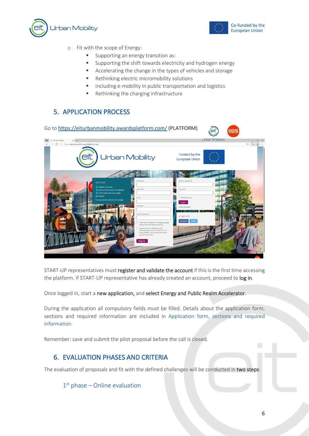



- o Fit with the scope of Energy:
	- Supporting an energy transition as:
	- Supporting the shift towards electricity and hydrogen energy
	- Accelerating the change in the types of vehicles and storage
	- Rethinking electric micromobility solutions
	- Including e-mobility in public transportation and logistics
	- Rethinking the charging infrastructure

#### <span id="page-6-0"></span>5. APPLICATION PROCESS



START-UP representatives must register and validate the account if this is the first time accessing the platform. If START-UP representative has already created an account, proceed to log in.

Once logged in, start a new application, and select Energy and Public Realm Accelerator.

During the application all compulsory fields must be filled. Details about the application form, sections and required information are included in [Application form, sections and required](#page-9-1)  [information.](#page-9-1)

<span id="page-6-1"></span>Remember: save and submit the pilot proposal before the call is closed.

#### 6. EVALUATION PHASES AND CRITERIA

The evaluation of proposals and fit with the defined challenges will be conducted in two steps:

1<sup>st</sup> phase - Online evaluation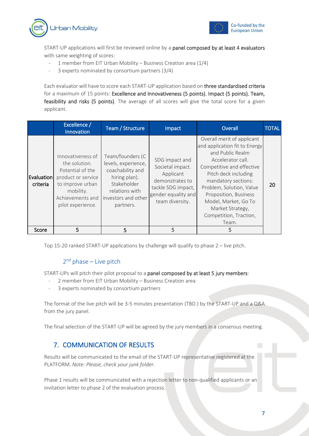



START-UP applications will first be reviewed online by a panel composed by at least 4 evaluators with same weighting of scores:

- 1 member from EIT Urban Mobility Business Creation area  $(1/4)$
- 3 experts nominated by consortium partners (3/4)

Each evaluator will have to score each START-UP application based on three standardised criteria for a maximum of 15 points: Excellence and Innovativeness (5 points), Impact (5 points), Team, feasibility and risks (5 points). The average of all scores will give the total score for a given applicant.

|                        | Excellence /<br>Innovation                                                                                                                             | Team / Structure                                                                                                                                   | Impact                                                                                                                             | Overall                                                                                                                                                                                                                                                                                                              | <b>TOTAL</b> |
|------------------------|--------------------------------------------------------------------------------------------------------------------------------------------------------|----------------------------------------------------------------------------------------------------------------------------------------------------|------------------------------------------------------------------------------------------------------------------------------------|----------------------------------------------------------------------------------------------------------------------------------------------------------------------------------------------------------------------------------------------------------------------------------------------------------------------|--------------|
| Evaluation<br>criteria | Innovativeness of<br>the solution.<br>Potential of the<br>product or service<br>to improve urban<br>mobility.<br>Achievements and<br>pilot experience. | Team/founders (C)<br>levels, experience,<br>coachability and<br>hiring plan).<br>Stakeholder<br>relations with<br>investors and other<br>partners. | SDG impact and<br>Societal impact.<br>Applicant<br>demonstrates to<br>tackle SDG impact,<br>gender equality and<br>team diversity. | Overall merit of applicant<br>and application fit to Energy<br>and Public Realm<br>Accelerator call.<br>Competitive and effective<br>Pitch deck including<br>mandatory sections:<br>Problem, Solution, Value<br>Proposition, Business<br>Model, Market, Go To<br>Market Strategy,<br>Competition, Traction,<br>Team. | 20           |
| Score                  | 5                                                                                                                                                      | 5                                                                                                                                                  | 5                                                                                                                                  | 5                                                                                                                                                                                                                                                                                                                    |              |

Top 15-20 ranked START-UP applications by challenge will qualify to phase 2 – live pitch.

#### 2<sup>nd</sup> phase - Live pitch

START-UPs will pitch their pilot proposal to a panel composed by at least 5 jury members:

- 2 member from EIT Urban Mobility Business Creation area
- 3 experts nominated by consortium partners

The format of the live pitch will be 3-5 minutes presentation (TBD.) by the START-UP and a Q&A from the jury panel.

<span id="page-7-0"></span>The final selection of the START-UP will be agreed by the jury members in a consensus meeting.

# 7. COMMUNICATION OF RESULTS

Results will be communicated to the email of the START-UP representative registered at the PLATFORM. *Note: Please, check your junk folder.*

Phase 1 results will be communicated with a rejection letter to non-qualified applicants or an invitation letter to phase 2 of the evaluation process.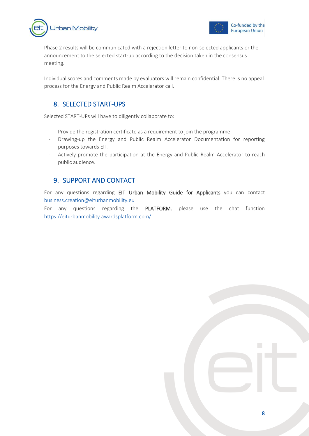



Phase 2 results will be communicated with a rejection letter to non-selected applicants or the announcement to the selected start-up according to the decision taken in the consensus meeting.

Individual scores and comments made by evaluators will remain confidential. There is no appeal process for the Energy and Public Realm Accelerator call.

#### <span id="page-8-0"></span>8. SELECTED START-UPS

Selected START-UPs will have to diligently collaborate to:

- Provide the registration certificate as a requirement to join the programme.
- Drawing-up the Energy and Public Realm Accelerator Documentation for reporting purposes towards EIT.
- Actively promote the participation at the Energy and Public Realm Accelerator to reach public audience.

#### <span id="page-8-1"></span>9. SUPPORT AND CONTACT

For any questions regarding EIT Urban Mobility Guide for Applicants you can contact [business.creation@eiturbanmobility.eu](mailto:business.creation@eiturbanmobility.eu)

For any questions regarding the PLATFORM, please use the chat function <https://eiturbanmobility.awardsplatform.com/>

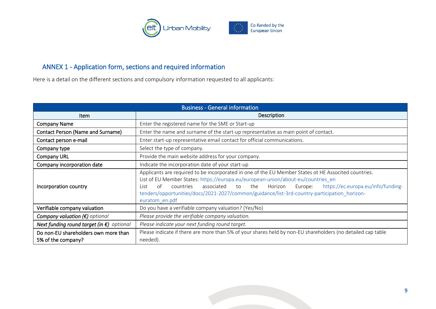

# ANNEX 1 - Application form, sections and required information

Here is a detail on the different sections and compulsory information requested to all applicants:

<span id="page-9-1"></span><span id="page-9-0"></span>

| <b>Business - General information</b>                                                                                                                                                 |                                                                                                                                                                                                                                                                                                                                                                                                                                |  |
|---------------------------------------------------------------------------------------------------------------------------------------------------------------------------------------|--------------------------------------------------------------------------------------------------------------------------------------------------------------------------------------------------------------------------------------------------------------------------------------------------------------------------------------------------------------------------------------------------------------------------------|--|
| Item                                                                                                                                                                                  | Description                                                                                                                                                                                                                                                                                                                                                                                                                    |  |
| <b>Company Name</b>                                                                                                                                                                   | Enter the registered name for the SME or Start-up                                                                                                                                                                                                                                                                                                                                                                              |  |
| <b>Contact Person (Name and Surname)</b>                                                                                                                                              | Enter the name and surname of the start-up representative as main point of contact.                                                                                                                                                                                                                                                                                                                                            |  |
| Contact person e-mail                                                                                                                                                                 | Enter start-up representative email contact for official communications.                                                                                                                                                                                                                                                                                                                                                       |  |
| Company type                                                                                                                                                                          | Select the type of company.                                                                                                                                                                                                                                                                                                                                                                                                    |  |
| <b>Company URL</b>                                                                                                                                                                    | Provide the main website address for your company.                                                                                                                                                                                                                                                                                                                                                                             |  |
| Company incorporation date                                                                                                                                                            | Indicate the incorporation date of your start-up                                                                                                                                                                                                                                                                                                                                                                               |  |
| Incorporation country                                                                                                                                                                 | Applicants are required to be incorporated in one of the EU Member States ot HE Associted countries.<br>List of EU Member States: https://europa.eu/european-union/about-eu/countries_en<br>Horizon<br>https://ec.europa.eu/info/funding-<br>of<br>countries<br>associated<br>the<br>Europe:<br>to<br>l ist-<br>tenders/opportunities/docs/2021-2027/common/guidance/list-3rd-country-participation_horizon-<br>euratom_en.pdf |  |
| Verifiable company valuation                                                                                                                                                          | Do you have a verifiable company valuation? (Yes/No)                                                                                                                                                                                                                                                                                                                                                                           |  |
| Company valuation $(\epsilon)$ optional                                                                                                                                               | Please provide the verifiable company valuation.                                                                                                                                                                                                                                                                                                                                                                               |  |
| Next funding round target (in $\epsilon$ ) optional                                                                                                                                   | Please indicate your next funding round target.                                                                                                                                                                                                                                                                                                                                                                                |  |
| Please indicate if there are more than 5% of your shares held by non-EU shareholders (no detailed cap table<br>Do non-EU shareholders own more than<br>needed).<br>5% of the company? |                                                                                                                                                                                                                                                                                                                                                                                                                                |  |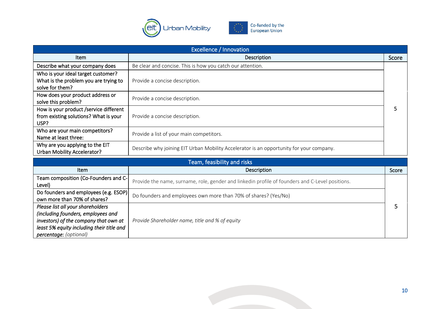

| <b>Excellence / Innovation</b>                                                                 |                                                                                         |       |
|------------------------------------------------------------------------------------------------|-----------------------------------------------------------------------------------------|-------|
| <b>Item</b>                                                                                    | Description                                                                             | Score |
| Describe what your company does                                                                | Be clear and concise. This is how you catch our attention.                              |       |
| Who is your ideal target customer?<br>What is the problem you are trying to<br>solve for them? | Provide a concise description.                                                          |       |
| How does your product address or<br>solve this problem?                                        | Provide a concise description.                                                          |       |
| How is your product /service different<br>from existing solutions? What is your<br>USP?        | Provide a concise description.                                                          |       |
| Who are your main competitors?<br>Name at least three:                                         | Provide a list of your main competitors.                                                |       |
| Why are you applying to the EIT<br>Urban Mobility Accelerator?                                 | Describe why joining EIT Urban Mobility Accelerator is an opportunity for your company. |       |

| Team, feasibility and risks                                                                                                                                                                    |                                                                                                 |       |
|------------------------------------------------------------------------------------------------------------------------------------------------------------------------------------------------|-------------------------------------------------------------------------------------------------|-------|
| Item                                                                                                                                                                                           | Description                                                                                     | Score |
| Team composition (Co-Founders and C-<br>Level)                                                                                                                                                 | Provide the name, surname, role, gender and linkedin profile of founders and C-Level positions. |       |
| Do founders and employees (e.g. ESOP)<br>own more than 70% of shares?                                                                                                                          | Do founders and employees own more than 70% of shares? (Yes/No)                                 |       |
| Please list all your shareholders<br>(including founders, employees and<br>investors) of the company that own at<br>least 5% equity including their title and<br><b>percentage:</b> (optional) | Provide Shareholder name, title and % of equity                                                 |       |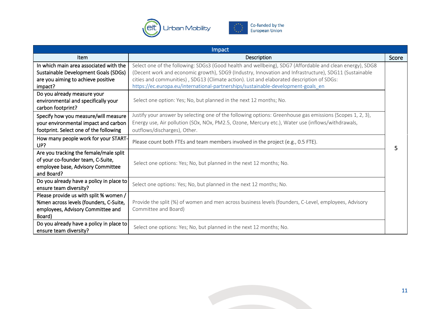



| Impact                                                                                                                          |                                                                                                                                                                                                                                                                                                                                                                                                    |       |
|---------------------------------------------------------------------------------------------------------------------------------|----------------------------------------------------------------------------------------------------------------------------------------------------------------------------------------------------------------------------------------------------------------------------------------------------------------------------------------------------------------------------------------------------|-------|
| Item                                                                                                                            | Description                                                                                                                                                                                                                                                                                                                                                                                        | Score |
| In which main area associated with the<br>Sustainable Development Goals (SDGs)<br>are you aiming to achieve positive<br>impact? | Select one of the following: SDGs3 (Good health and wellbeing), SDG7 (Affordable and clean energy), SDG8<br>(Decent work and economic growth), SDG9 (Industry, Innovation and Infrastructure), SDG11 (Sustainable<br>cities and communities), SDG13 (Climate action). List and elaborated description of SDGs:<br>https://ec.europa.eu/international-partnerships/sustainable-development-goals_en |       |
| Do you already measure your<br>environmental and specifically your<br>carbon footprint?                                         | Select one option: Yes; No, but planned in the next 12 months; No.                                                                                                                                                                                                                                                                                                                                 |       |
| Specify how you measure/will measure<br>your environmental impact and carbon<br>footprint. Select one of the following          | Justify your answer by selecting one of the following options: Greenhouse gas emissions (Scopes 1, 2, 3),<br>Energy use, Air pollution (SOx, NOx, PM2.5, Ozone, Mercury etc.), Water use (inflows/withdrawals,<br>outflows/discharges), Other.                                                                                                                                                     |       |
| How many people work for your START-<br>UP?                                                                                     | Please count both FTEs and team members involved in the project (e.g., 0.5 FTE).                                                                                                                                                                                                                                                                                                                   | 5     |
| Are you tracking the female/male split<br>of your co-founder team, C-Suite,<br>employee base, Advisory Committee<br>and Board?  | Select one options: Yes; No, but planned in the next 12 months; No.                                                                                                                                                                                                                                                                                                                                |       |
| Do you already have a policy in place to<br>ensure team diversity?                                                              | Select one options: Yes; No, but planned in the next 12 months; No.                                                                                                                                                                                                                                                                                                                                |       |
| Please provide us with split % women /<br>%men across levels (founders, C-Suite,<br>employees, Advisory Committee and<br>Board) | Provide the split (%) of women and men across business levels (founders, C-Level, employees, Advisory<br>Committee and Board)                                                                                                                                                                                                                                                                      |       |
| Do you already have a policy in place to<br>ensure team diversity?                                                              | Select one options: Yes; No, but planned in the next 12 months; No.                                                                                                                                                                                                                                                                                                                                |       |